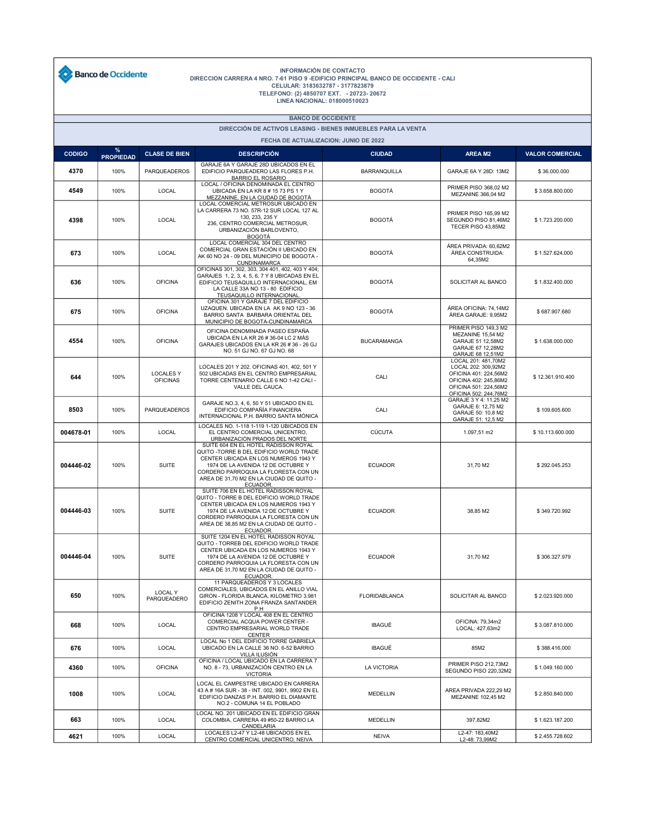

## INFORMACIÓN DE CONTACTO<br>DIRECCION CARRERA 4 NRO. 7-61 PISO 9 -EDIFICIO PRINCIPAL BANCO DE OCCIDENTE - CALI<br>CELULAR: 3183632787 - 3177823879<br>TELEFONO: (2) 4850707 EXT. - 20723- 20672<br>LINEA NACIONAL: 018000510023

## BANCO DE OCCIDENTE

DIRECCIÓN DE ACTIVOS LEASING - BIENES INMUEBLES PARA LA VENTA

| <b>FECHA DE ACTUALIZACION: JUNIO DE 2022</b> |                          |                                     |                                                                                                                                                                                                                                                                      |                     |                                                                                                                                                |                        |  |  |  |  |  |
|----------------------------------------------|--------------------------|-------------------------------------|----------------------------------------------------------------------------------------------------------------------------------------------------------------------------------------------------------------------------------------------------------------------|---------------------|------------------------------------------------------------------------------------------------------------------------------------------------|------------------------|--|--|--|--|--|
| <b>CODIGO</b>                                | $\%$<br><b>PROPIEDAD</b> | <b>CLASE DE BIEN</b>                | <b>DESCRIPCIÓN</b>                                                                                                                                                                                                                                                   | <b>CIUDAD</b>       | <b>AREA M2</b>                                                                                                                                 | <b>VALOR COMERCIAL</b> |  |  |  |  |  |
| 4370                                         | 100%                     | <b>PARQUEADEROS</b>                 | GARAJE 6A Y GARAJE 28D UBICADOS EN EL<br>EDIFICIO PARQUEADERO LAS FLORES P.H.<br><b>BARRIO EL ROSARIO</b>                                                                                                                                                            | <b>BARRANQUILLA</b> | GARAJE 6A Y 28D: 13M2                                                                                                                          | \$36.000.000           |  |  |  |  |  |
| 4549                                         | 100%                     | LOCAL                               | LOCAL / OFICINA DENOMINADA EL CENTRO<br>UBICADA EN LA KR 8 # 15 73 PS 1 Y<br>MEZZANINE, EN LA CIUDAD DE BOGOTÁ                                                                                                                                                       | <b>BOGOTÁ</b>       | PRIMER PISO 368,02 M2<br>MEZANINE 366,04 M2                                                                                                    | \$3.658.800.000        |  |  |  |  |  |
| 4398                                         | 100%                     | LOCAL                               | LOCAL COMERCIAL METROSUR UBICADO EN<br>LA CARRERA 73 NO. 57R-12 SUR LOCAL 127 AL<br>130, 233, 235 Y<br>236, CENTRO COMERCIAL METROSUR,<br>URBANIZACIÓN BARLOVENTO,<br><b>BOGOTÁ</b>                                                                                  | <b>BOGOTÁ</b>       | <b>PRIMER PISO 165,99 M2</b><br>SEGUNDO PISO 81,46M2<br>TECER PISO 43,85M2                                                                     | \$1.723.200.000        |  |  |  |  |  |
| 673                                          | 100%                     | LOCAL                               | LOCAL COMERCIAL 304 DEL CENTRO<br>COMERCIAL GRAN ESTACIÓN II UBICADO EN<br>AK 60 NO 24 - 09 DEL MUNICIPIO DE BOGOTA -<br>CUNDINAMARCA                                                                                                                                | <b>BOGOTÁ</b>       | ÁREA PRIVADA: 60,62M2<br>ÁREA CONSTRUIDA:<br>64,35M2                                                                                           | \$1.527.624.000        |  |  |  |  |  |
| 636                                          | 100%                     | <b>OFICINA</b>                      | OFICINAS 301, 302, 303, 304 401, 402, 403 Y 404;<br>GARAJES 1, 2, 3, 4, 5, 6, 7 Y 8 UBICADAS EN EL<br>EDIFICIO TEUSAQUILLO INTERNACIONAL. EM<br>LA CALLE 33A NO 13 - 80 EDIFICIO<br>TEUSAQUILLO INTERNACIONAL                                                        | <b>BOGOTÁ</b>       | SOLICITAR AL BANCO                                                                                                                             | \$1.832.400.000        |  |  |  |  |  |
| 675                                          | 100%                     | <b>OFICINA</b>                      | OFICINA 301 Y GARAJE 7 DEL EDIFICIO<br>UZAQUEN. UBICADA EN LA AK 9 NO 123 - 36<br>BARRIO SANTA BARBARA ORIENTAL DEL<br>MUNICIPIO DE BOGOTA-CUNDINAMARCA                                                                                                              | <b>BOGOTA</b>       | AREA OFICINA: 74,14M2<br>ÁREA GARAJE: 9,95M2                                                                                                   | \$687.907.680          |  |  |  |  |  |
| 4554                                         | 100%                     | <b>OFICINA</b>                      | OFICINA DENOMINADA PASEO ESPAÑA<br>UBICADA EN LA KR 26 # 36-04 LC 2 MÁS<br>GARAJES UBICADOS EN LA KR 26 # 36 - 26 GJ<br>NO. 51 GJ NO. 67 GJ NO. 68                                                                                                                   | <b>BUCARAMANGA</b>  | PRIMER PISO 149,3 M2<br>MEZANINE 15,54 M2<br>GARAJE 51 12,58M2<br>GARAJE 67 12,28M2<br>GARAJE 68 12,51M2                                       | \$1.638.000.000        |  |  |  |  |  |
| 644                                          | 100%                     | <b>LOCALES Y</b><br><b>OFICINAS</b> | LOCALES 201 Y 202. OFICINAS 401, 402, 501 Y<br>502 UBICADAS EN EL CENTRO EMPRESARIAL<br>TORRE CENTENARIO CALLE 6 NO 1-42 CALI -<br>VALLE DEL CAUCA.                                                                                                                  | CALI                | LOCAL 201: 481,70M2<br>LOCAL 202: 309.92M2<br>OFICINA 401: 224,56M2<br>OFICINA 402: 245,86M2<br>OFICINA 501: 224,56M2<br>OFICINA 502: 244,76M2 | \$12.361.910.400       |  |  |  |  |  |
| 8503                                         | 100%                     | PARQUEADEROS                        | GARAJE NO.3, 4, 6, 50 Y 51 UBICADO EN EL<br>EDIFICIO COMPAÑÍA FINANCIERA<br>INTERNACIONAL P.H. BARRIO SANTA MÓNICA                                                                                                                                                   | CALI                | GARAJE 3 Y 4: 11,25 M2<br>GARAJE 6: 12,75 M2<br>GARAJE 50: 10,8 M2<br>GARAJE 51: 12,5 M2                                                       | \$109.605.600          |  |  |  |  |  |
| 004678-01                                    | 100%                     | LOCAL                               | LOCALES NO. 1-118 1-119 1-120 UBICADOS EN<br>EL CENTRO COMERCIAL UNICENTRO,<br>URBANIZACIÓN PRADOS DEL NORTE                                                                                                                                                         | CÚCUTA              | 1.097,51 m2                                                                                                                                    | \$10.113.600.000       |  |  |  |  |  |
| 004446-02                                    | 100%                     | <b>SUITE</b>                        | SUITE 604 EN EL HOTEL RADISSON ROYAL<br>QUITO - TORRE B DEL EDIFICIO WORLD TRADE<br>CENTER UBICADA EN LOS NUMEROS 1943 Y<br>1974 DE LA AVENIDA 12 DE OCTUBRE Y<br>CORDERO PARROQUIA LA FLORESTA CON UN<br>AREA DE 31,70 M2 EN LA CIUDAD DE QUITO -<br><b>ECUADOR</b> | <b>ECUADOR</b>      | 31,70 M2                                                                                                                                       | \$292.045.253          |  |  |  |  |  |
| 004446-03                                    | 100%                     | <b>SUITE</b>                        | SUITE 706 EN EL HOTEL RADISSON ROYAL<br>QUITO - TORRE B DEL EDIFICIO WORLD TRADE<br>CENTER UBICADA EN LOS NUMEROS 1943 Y<br>1974 DE LA AVENIDA 12 DE OCTUBRE Y<br>CORDERO PARROQUIA LA FLORESTA CON UN<br>AREA DE 38,85 M2 EN LA CIUDAD DE QUITO -<br><b>ECUADOR</b> | <b>ECUADOR</b>      | 38,85 M2                                                                                                                                       | \$349.720.992          |  |  |  |  |  |
| 004446-04                                    | 100%                     | <b>SUITE</b>                        | SUITE 1204 EN EL HOTEL RADISSON ROYAL<br>QUITO - TORREB DEL EDIFICIO WORLD TRADE<br>CENTER UBICADA EN LOS NUMEROS 1943 Y<br>1974 DE LA AVENIDA 12 DE OCTUBRE Y<br>CORDERO PARROQUIA LA FLORESTA CON UN<br>AREA DE 31,70 M2 EN LA CIUDAD DE QUITO -<br><b>ECUADOR</b> | <b>ECUADOR</b>      | 31,70 M2                                                                                                                                       | \$306.327.979          |  |  |  |  |  |
| 650                                          | 100%                     | <b>LOCAL Y</b><br>PARQUEADERO       | 11 PARQUEADEROS Y 3 LOCALES<br>COMERCIALES, UBICADOS EN EL ANILLO VIAL<br>GIRON - FLORIDA BLANCA, KILOMETRO 3.981<br>EDIFICIO ZENITH ZONA FRANZA SANTANDER<br>P.H                                                                                                    | FLORIDABLANCA       | SOLICITAR AL BANCO                                                                                                                             | \$2.023.920.000        |  |  |  |  |  |
| 668                                          | 100%                     | LOCAL                               | OFICINA 1208 Y LOCAL 408 EN EL CENTRO<br>COMERCIAL ACQUA POWER CENTER -<br>CENTRO EMPRESARIAL WORLD TRADE<br><b>CENTER</b>                                                                                                                                           | <b>IBAGUÉ</b>       | OFICINA: 79,34m2<br>LOCAL: 427,63m2                                                                                                            | \$3.087.810.000        |  |  |  |  |  |
| 676                                          | 100%                     | LOCAL                               | LOCAL No 1 DEL EDIFICIO TORRE GABRIELA<br>UBICADO EN LA CALLE 36 NO. 6-52 BARRIO<br>VILLA ILUSIÓN                                                                                                                                                                    | <b>IBAGUÉ</b>       | 85M2                                                                                                                                           | \$388.416.000          |  |  |  |  |  |
| 4360                                         | 100%                     | <b>OFICINA</b>                      | OFICINA / LOCAL UBICADO EN LA CARRERA 7<br>NO. 8 - 73, URBANIZACIÓN CENTRO EN LA<br><b>VICTORIA</b>                                                                                                                                                                  | LA VICTORIA         | <b>PRIMER PISO 212.73M2</b><br>SEGUNDO PISO 220.32M2                                                                                           | \$1.049.160.000        |  |  |  |  |  |
| 1008                                         | 100%                     | LOCAL                               | LOCAL EL CAMPESTRE UBICADO EN CARRERA<br>43 A # 16A SUR - 38 - INT. 002, 9901, 9902 EN EL<br>EDIFICIO DANZAS P.H. BARRIO EL DIAMANTE<br>NO.2 - COMUNA 14 EL POBLADO                                                                                                  | <b>MEDELLIN</b>     | AREA PRIVADA 222,29 M2<br>MEZANINE 102,45 M2                                                                                                   | \$2.850.840.000        |  |  |  |  |  |
| 663                                          | 100%                     | LOCAL                               | LOCAL NO. 201 UBICADO EN EL EDIFICIO GRAN<br>COLOMBIA, CARRERA 49 #50-22 BARRIO LA<br>CANDELARIA                                                                                                                                                                     | MEDELLIN            | 397,82M2                                                                                                                                       | \$1.623.187.200        |  |  |  |  |  |
| 4621                                         | 100%                     | LOCAL                               | LOCALES L2-47 Y L2-48 UBICADOS EN EL<br>CENTRO COMERCIAL UNICENTRO. NEIVA                                                                                                                                                                                            | <b>NEIVA</b>        | L2-47: 183,40M2<br>L2-48: 73,99M2                                                                                                              | \$2.455.728.602        |  |  |  |  |  |